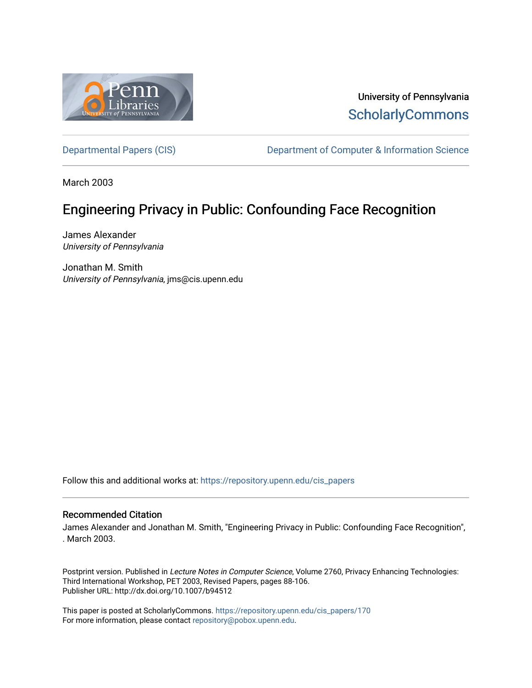

University of Pennsylvania **ScholarlyCommons** 

[Departmental Papers \(CIS\)](https://repository.upenn.edu/cis_papers) Department of Computer & Information Science

March 2003

# Engineering Privacy in Public: Confounding Face Recognition

James Alexander University of Pennsylvania

Jonathan M. Smith University of Pennsylvania, jms@cis.upenn.edu

Follow this and additional works at: [https://repository.upenn.edu/cis\\_papers](https://repository.upenn.edu/cis_papers?utm_source=repository.upenn.edu%2Fcis_papers%2F170&utm_medium=PDF&utm_campaign=PDFCoverPages)

#### Recommended Citation

James Alexander and Jonathan M. Smith, "Engineering Privacy in Public: Confounding Face Recognition", . March 2003.

Postprint version. Published in Lecture Notes in Computer Science, Volume 2760, Privacy Enhancing Technologies: Third International Workshop, PET 2003, Revised Papers, pages 88-106. Publisher URL: http://dx.doi.org/10.1007/b94512

This paper is posted at ScholarlyCommons. [https://repository.upenn.edu/cis\\_papers/170](https://repository.upenn.edu/cis_papers/170)  For more information, please contact [repository@pobox.upenn.edu.](mailto:repository@pobox.upenn.edu)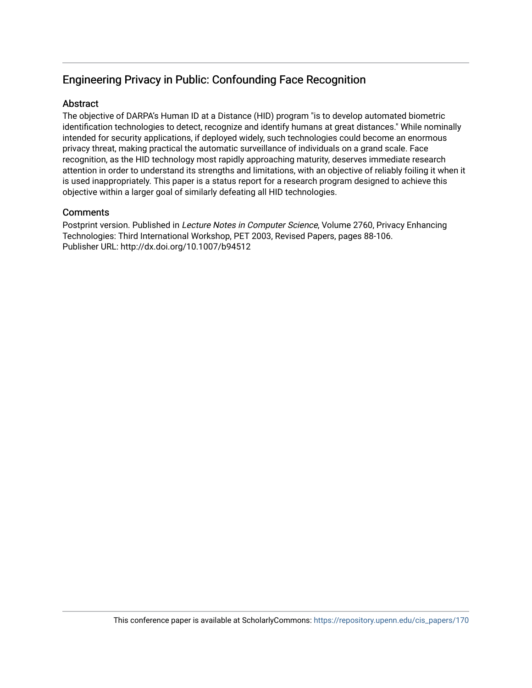## Engineering Privacy in Public: Confounding Face Recognition

## Abstract

The objective of DARPA's Human ID at a Distance (HID) program "is to develop automated biometric identification technologies to detect, recognize and identify humans at great distances." While nominally intended for security applications, if deployed widely, such technologies could become an enormous privacy threat, making practical the automatic surveillance of individuals on a grand scale. Face recognition, as the HID technology most rapidly approaching maturity, deserves immediate research attention in order to understand its strengths and limitations, with an objective of reliably foiling it when it is used inappropriately. This paper is a status report for a research program designed to achieve this objective within a larger goal of similarly defeating all HID technologies.

## **Comments**

Postprint version. Published in Lecture Notes in Computer Science, Volume 2760, Privacy Enhancing Technologies: Third International Workshop, PET 2003, Revised Papers, pages 88-106. Publisher URL: http://dx.doi.org/10.1007/b94512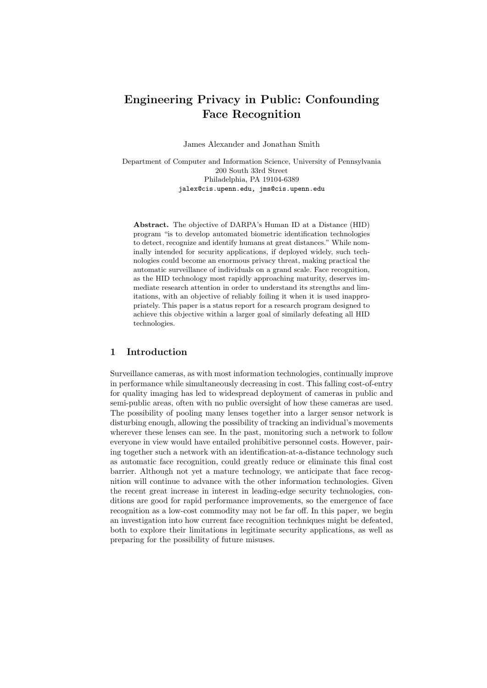## Engineering Privacy in Public: Confounding Face Recognition

James Alexander and Jonathan Smith

Department of Computer and Information Science, University of Pennsylvania 200 South 33rd Street Philadelphia, PA 19104-6389 jalex@cis.upenn.edu, jms@cis.upenn.edu

Abstract. The objective of DARPA's Human ID at a Distance (HID) program "is to develop automated biometric identification technologies to detect, recognize and identify humans at great distances." While nominally intended for security applications, if deployed widely, such technologies could become an enormous privacy threat, making practical the automatic surveillance of individuals on a grand scale. Face recognition, as the HID technology most rapidly approaching maturity, deserves immediate research attention in order to understand its strengths and limitations, with an objective of reliably foiling it when it is used inappropriately. This paper is a status report for a research program designed to achieve this objective within a larger goal of similarly defeating all HID technologies.

#### 1 Introduction

Surveillance cameras, as with most information technologies, continually improve in performance while simultaneously decreasing in cost. This falling cost-of-entry for quality imaging has led to widespread deployment of cameras in public and semi-public areas, often with no public oversight of how these cameras are used. The possibility of pooling many lenses together into a larger sensor network is disturbing enough, allowing the possibility of tracking an individual's movements wherever these lenses can see. In the past, monitoring such a network to follow everyone in view would have entailed prohibitive personnel costs. However, pairing together such a network with an identification-at-a-distance technology such as automatic face recognition, could greatly reduce or eliminate this final cost barrier. Although not yet a mature technology, we anticipate that face recognition will continue to advance with the other information technologies. Given the recent great increase in interest in leading-edge security technologies, conditions are good for rapid performance improvements, so the emergence of face recognition as a low-cost commodity may not be far off. In this paper, we begin an investigation into how current face recognition techniques might be defeated, both to explore their limitations in legitimate security applications, as well as preparing for the possibility of future misuses.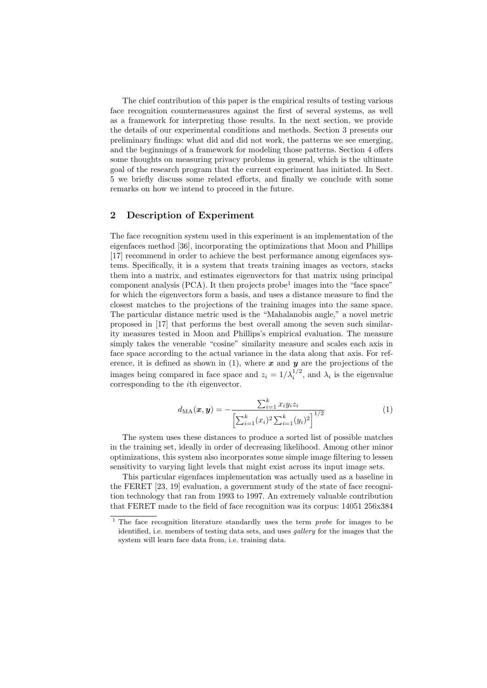The chief contribution of this paper is the empirical results of testing various face recognition countermeasures against the first of several systems, as well as a framework for interpreting those results. In the next section, we provide the details of our experimental conditions and methods. Section 3 presents our preliminary findings: what did and did not work, the patterns we see emerging, and the beginnings of a framework for modeling those patterns. Section 4 offers some thoughts on measuring privacy problems in general, which is the ultimate goal of the research program that the current experiment has initiated. In Sect. 5 we briefly discuss some related efforts, and finally we conclude with some remarks on how we intend to proceed in the future.

#### 2 Description of Experiment

The face recognition system used in this experiment is an implementation of the eigenfaces method [36], incorporating the optimizations that Moon and Phillips [17] recommend in order to achieve the best performance among eigenfaces systems. Specifically, it is a system that treats training images as vectors, stacks them into a matrix, and estimates eigenvectors for that matrix using principal component analysis (PCA). It then projects probe<sup>1</sup> images into the "face space" for which the eigenvectors form a basis, and uses a distance measure to find the closest matches to the projections of the training images into the same space. The particular distance metric used is the "Mahalanobis angle," a novel metric proposed in [17] that performs the best overall among the seven such similarity measures tested in Moon and Phillips's empirical evaluation. The measure simply takes the venerable "cosine" similarity measure and scales each axis in face space according to the actual variance in the data along that axis. For reference, it is defined as shown in (1), where  $x$  and  $y$  are the projections of the images being compared in face space and  $z_i = 1/\lambda_i^{1/2}$ , and  $\lambda_i$  is the eigenvalue corresponding to the ith eigenvector.

$$
d_{\text{MA}}(\boldsymbol{x}, \boldsymbol{y}) = -\frac{\sum_{i=1}^{k} x_i y_i z_i}{\left[\sum_{i=1}^{k} (x_i)^2 \sum_{i=1}^{k} (y_i)^2\right]^{1/2}}
$$
(1)

The system uses these distances to produce a sorted list of possible matches in the training set, ideally in order of decreasing likelihood. Among other minor optimizations, this system also incorporates some simple image filtering to lessen sensitivity to varying light levels that might exist across its input image sets.

This particular eigenfaces implementation was actually used as a baseline in the FERET [23, 19] evaluation, a government study of the state of face recognition technology that ran from 1993 to 1997. An extremely valuable contribution that FERET made to the field of face recognition was its corpus: 14051 256x384

<sup>&</sup>lt;sup>1</sup> The face recognition literature standardly uses the term *probe* for images to be identified, i.e. members of testing data sets, and uses gallery for the images that the system will learn face data from, i.e. training data.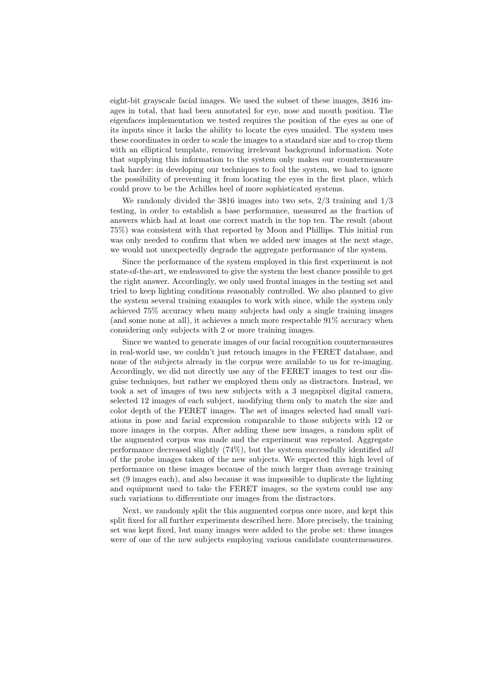eight-bit grayscale facial images. We used the subset of these images, 3816 images in total, that had been annotated for eye, nose and mouth position. The eigenfaces implementation we tested requires the position of the eyes as one of its inputs since it lacks the ability to locate the eyes unaided. The system uses these coordinates in order to scale the images to a standard size and to crop them with an elliptical template, removing irrelevant background information. Note that supplying this information to the system only makes our countermeasure task harder: in developing our techniques to fool the system, we had to ignore the possibility of preventing it from locating the eyes in the first place, which could prove to be the Achilles heel of more sophisticated systems.

We randomly divided the 3816 images into two sets, 2/3 training and 1/3 testing, in order to establish a base performance, measured as the fraction of answers which had at least one correct match in the top ten. The result (about 75%) was consistent with that reported by Moon and Phillips. This initial run was only needed to confirm that when we added new images at the next stage, we would not unexpectedly degrade the aggregate performance of the system.

Since the performance of the system employed in this first experiment is not state-of-the-art, we endeavored to give the system the best chance possible to get the right answer. Accordingly, we only used frontal images in the testing set and tried to keep lighting conditions reasonably controlled. We also planned to give the system several training examples to work with since, while the system only achieved 75% accuracy when many subjects had only a single training images (and some none at all), it achieves a much more respectable 91% accuracy when considering only subjects with 2 or more training images.

Since we wanted to generate images of our facial recognition countermeasures in real-world use, we couldn't just retouch images in the FERET database, and none of the subjects already in the corpus were available to us for re-imaging. Accordingly, we did not directly use any of the FERET images to test our disguise techniques, but rather we employed them only as distractors. Instead, we took a set of images of two new subjects with a 3 megapixel digital camera, selected 12 images of each subject, modifying them only to match the size and color depth of the FERET images. The set of images selected had small variations in pose and facial expression comparable to those subjects with 12 or more images in the corpus. After adding these new images, a random split of the augmented corpus was made and the experiment was repeated. Aggregate performance decreased slightly (74%), but the system successfully identified all of the probe images taken of the new subjects. We expected this high level of performance on these images because of the much larger than average training set (9 images each), and also because it was impossible to duplicate the lighting and equipment used to take the FERET images, so the system could use any such variations to differentiate our images from the distractors.

Next, we randomly split the this augmented corpus once more, and kept this split fixed for all further experiments described here. More precisely, the training set was kept fixed, but many images were added to the probe set: these images were of one of the new subjects employing various candidate countermeasures.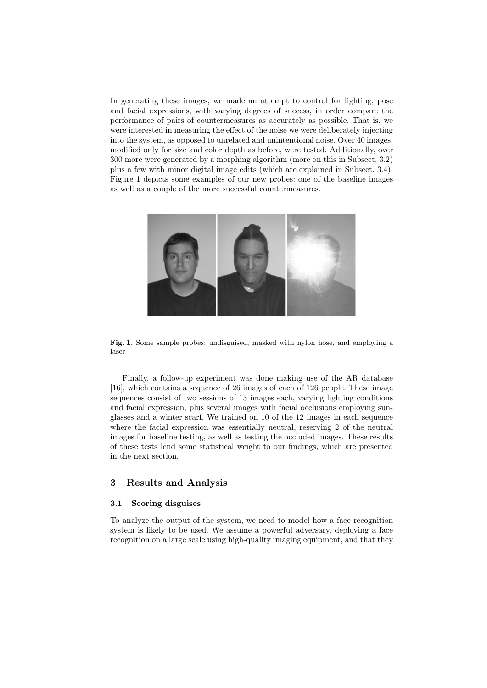In generating these images, we made an attempt to control for lighting, pose and facial expressions, with varying degrees of success, in order compare the performance of pairs of countermeasures as accurately as possible. That is, we were interested in measuring the effect of the noise we were deliberately injecting into the system, as opposed to unrelated and unintentional noise. Over 40 images, modified only for size and color depth as before, were tested. Additionally, over 300 more were generated by a morphing algorithm (more on this in Subsect. 3.2) plus a few with minor digital image edits (which are explained in Subsect. 3.4). Figure 1 depicts some examples of our new probes: one of the baseline images as well as a couple of the more successful countermeasures.



Fig. 1. Some sample probes: undisguised, masked with nylon hose, and employing a laser

Finally, a follow-up experiment was done making use of the AR database [16], which contains a sequence of 26 images of each of 126 people. These image sequences consist of two sessions of 13 images each, varying lighting conditions and facial expression, plus several images with facial occlusions employing sunglasses and a winter scarf. We trained on 10 of the 12 images in each sequence where the facial expression was essentially neutral, reserving 2 of the neutral images for baseline testing, as well as testing the occluded images. These results of these tests lend some statistical weight to our findings, which are presented in the next section.

### 3 Results and Analysis

#### 3.1 Scoring disguises

To analyze the output of the system, we need to model how a face recognition system is likely to be used. We assume a powerful adversary, deploying a face recognition on a large scale using high-quality imaging equipment, and that they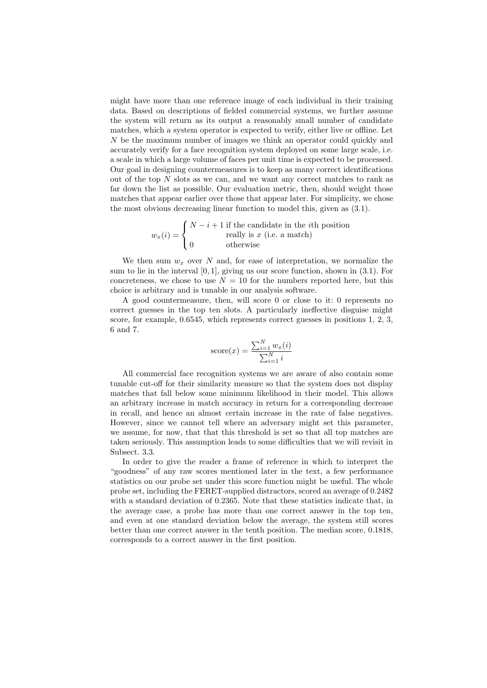might have more than one reference image of each individual in their training data. Based on descriptions of fielded commercial systems, we further assume the system will return as its output a reasonably small number of candidate matches, which a system operator is expected to verify, either live or offline. Let N be the maximum number of images we think an operator could quickly and accurately verify for a face recognition system deployed on some large scale, i.e. a scale in which a large volume of faces per unit time is expected to be processed. Our goal in designing countermeasures is to keep as many correct identifications out of the top  $N$  slots as we can, and we want any correct matches to rank as far down the list as possible. Our evaluation metric, then, should weight those matches that appear earlier over those that appear later. For simplicity, we chose the most obvious decreasing linear function to model this, given as (3.1).

$$
w_x(i) = \begin{cases} N - i + 1 \text{ if the candidate in the } i\text{th position} \\ 0 \qquad \qquad \text{really is } x \text{ (i.e. a match)} \end{cases}
$$

We then sum  $w<sub>x</sub>$  over N and, for ease of interpretation, we normalize the sum to lie in the interval  $[0, 1]$ , giving us our score function, shown in  $(3.1)$ . For concreteness, we chose to use  $N = 10$  for the numbers reported here, but this choice is arbitrary and is tunable in our analysis software.

A good countermeasure, then, will score 0 or close to it: 0 represents no correct guesses in the top ten slots. A particularly ineffective disguise might score, for example, 0.6545, which represents correct guesses in positions 1, 2, 3, 6 and 7.

$$
score(x) = \frac{\sum_{i=1}^{N} w_x(i)}{\sum_{i=1}^{N} i}
$$

All commercial face recognition systems we are aware of also contain some tunable cut-off for their similarity measure so that the system does not display matches that fall below some minimum likelihood in their model. This allows an arbitrary increase in match accuracy in return for a corresponding decrease in recall, and hence an almost certain increase in the rate of false negatives. However, since we cannot tell where an adversary might set this parameter, we assume, for now, that that this threshold is set so that all top matches are taken seriously. This assumption leads to some difficulties that we will revisit in Subsect. 3.3.

In order to give the reader a frame of reference in which to interpret the "goodness" of any raw scores mentioned later in the text, a few performance statistics on our probe set under this score function might be useful. The whole probe set, including the FERET-supplied distractors, scored an average of 0.2482 with a standard deviation of 0.2365. Note that these statistics indicate that, in the average case, a probe has more than one correct answer in the top ten, and even at one standard deviation below the average, the system still scores better than one correct answer in the tenth position. The median score, 0.1818, corresponds to a correct answer in the first position.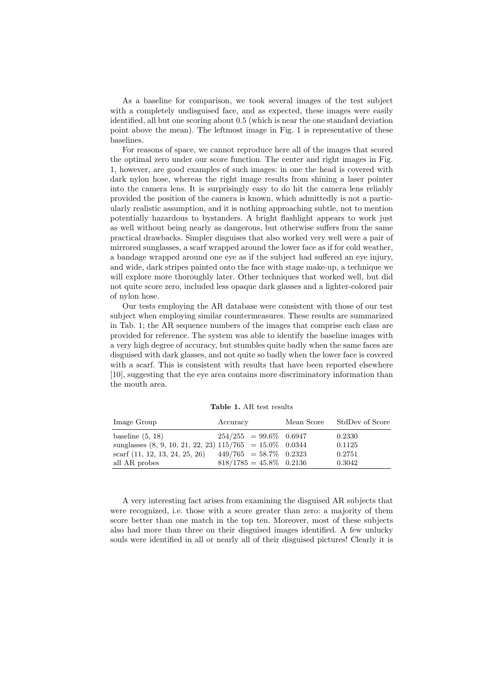As a baseline for comparison, we took several images of the test subject with a completely undisguised face, and as expected, these images were easily identified, all but one scoring about 0.5 (which is near the one standard deviation point above the mean). The leftmost image in Fig. 1 is representative of these baselines.

For reasons of space, we cannot reproduce here all of the images that scored the optimal zero under our score function. The center and right images in Fig. 1, however, are good examples of such images: in one the head is covered with dark nylon hose, whereas the right image results from shining a laser pointer into the camera lens. It is surprisingly easy to do hit the camera lens reliably provided the position of the camera is known, which admittedly is not a particularly realistic assumption, and it is nothing approaching subtle, not to mention potentially hazardous to bystanders. A bright flashlight appears to work just as well without being nearly as dangerous, but otherwise suffers from the same practical drawbacks. Simpler disguises that also worked very well were a pair of mirrored sunglasses, a scarf wrapped around the lower face as if for cold weather, a bandage wrapped around one eye as if the subject had suffered an eye injury, and wide, dark stripes painted onto the face with stage make-up, a technique we will explore more thoroughly later. Other techniques that worked well, but did not quite score zero, included less opaque dark glasses and a lighter-colored pair of nylon hose.

Our tests employing the AR database were consistent with those of our test subject when employing similar countermeasures. These results are summarized in Tab. 1; the AR sequence numbers of the images that comprise each class are provided for reference. The system was able to identify the baseline images with a very high degree of accuracy, but stumbles quite badly when the same faces are disguised with dark glasses, and not quite so badly when the lower face is covered with a scarf. This is consistent with results that have been reported elsewhere [10], suggesting that the eye area contains more discriminatory information than the mouth area.

| Image Group                                                | Accuracy                        | Mean Score | StdDev of Score |
|------------------------------------------------------------|---------------------------------|------------|-----------------|
| baseline $(5, 18)$                                         | $254/255 = 99.6\% \quad 0.6947$ |            | 0.2330          |
| sunglasses $(8, 9, 10, 21, 22, 23)$ 115/765 = 15.0% 0.0344 |                                 |            | 0.1125          |
| scarf $(11, 12, 13, 24, 25, 26)$                           | $449/765 = 58.7\%$ 0.2323       |            | 0.2751          |
| all AR probes                                              | $818/1785 = 45.8\%$ 0.2136      |            | 0.3042          |

Table 1. AR test results

A very interesting fact arises from examining the disguised AR subjects that were recognized, i.e. those with a score greater than zero: a majority of them score better than one match in the top ten. Moreover, most of these subjects also had more than three on their disguised images identified. A few unlucky souls were identified in all or nearly all of their disguised pictures! Clearly it is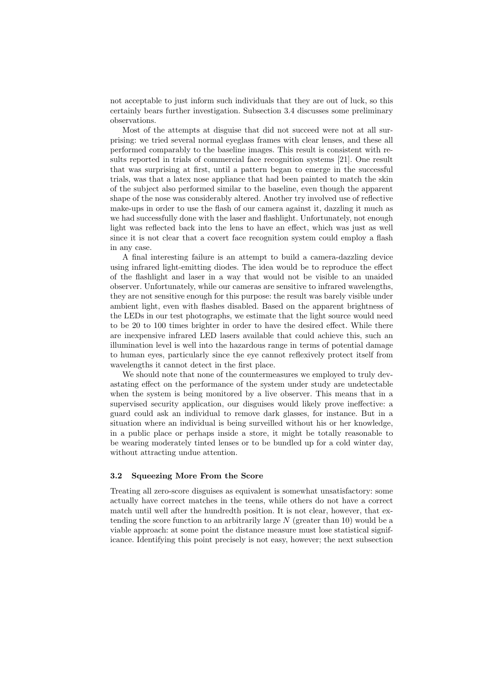not acceptable to just inform such individuals that they are out of luck, so this certainly bears further investigation. Subsection 3.4 discusses some preliminary observations.

Most of the attempts at disguise that did not succeed were not at all surprising: we tried several normal eyeglass frames with clear lenses, and these all performed comparably to the baseline images. This result is consistent with results reported in trials of commercial face recognition systems [21]. One result that was surprising at first, until a pattern began to emerge in the successful trials, was that a latex nose appliance that had been painted to match the skin of the subject also performed similar to the baseline, even though the apparent shape of the nose was considerably altered. Another try involved use of reflective make-ups in order to use the flash of our camera against it, dazzling it much as we had successfully done with the laser and flashlight. Unfortunately, not enough light was reflected back into the lens to have an effect, which was just as well since it is not clear that a covert face recognition system could employ a flash in any case.

A final interesting failure is an attempt to build a camera-dazzling device using infrared light-emitting diodes. The idea would be to reproduce the effect of the flashlight and laser in a way that would not be visible to an unaided observer. Unfortunately, while our cameras are sensitive to infrared wavelengths, they are not sensitive enough for this purpose: the result was barely visible under ambient light, even with flashes disabled. Based on the apparent brightness of the LEDs in our test photographs, we estimate that the light source would need to be 20 to 100 times brighter in order to have the desired effect. While there are inexpensive infrared LED lasers available that could achieve this, such an illumination level is well into the hazardous range in terms of potential damage to human eyes, particularly since the eye cannot reflexively protect itself from wavelengths it cannot detect in the first place.

We should note that none of the countermeasures we employed to truly devastating effect on the performance of the system under study are undetectable when the system is being monitored by a live observer. This means that in a supervised security application, our disguises would likely prove ineffective: a guard could ask an individual to remove dark glasses, for instance. But in a situation where an individual is being surveilled without his or her knowledge, in a public place or perhaps inside a store, it might be totally reasonable to be wearing moderately tinted lenses or to be bundled up for a cold winter day, without attracting undue attention.

#### 3.2 Squeezing More From the Score

Treating all zero-score disguises as equivalent is somewhat unsatisfactory: some actually have correct matches in the teens, while others do not have a correct match until well after the hundredth position. It is not clear, however, that extending the score function to an arbitrarily large  $N$  (greater than 10) would be a viable approach: at some point the distance measure must lose statistical significance. Identifying this point precisely is not easy, however; the next subsection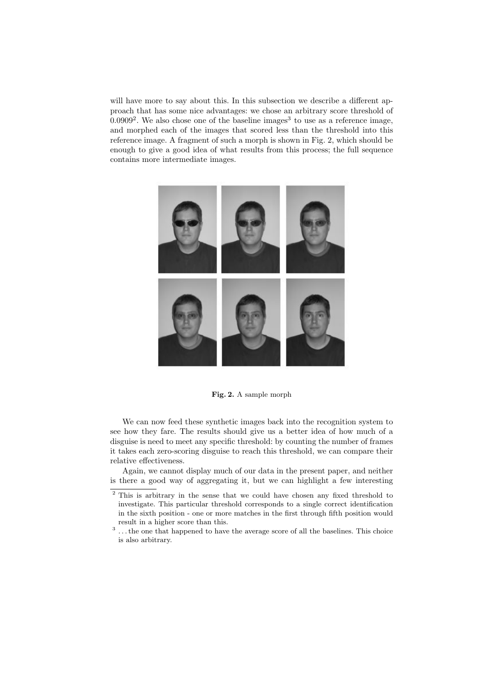will have more to say about this. In this subsection we describe a different approach that has some nice advantages: we chose an arbitrary score threshold of  $0.0909<sup>2</sup>$ . We also chose one of the baseline images<sup>3</sup> to use as a reference image, and morphed each of the images that scored less than the threshold into this reference image. A fragment of such a morph is shown in Fig. 2, which should be enough to give a good idea of what results from this process; the full sequence contains more intermediate images.



Fig. 2. A sample morph

We can now feed these synthetic images back into the recognition system to see how they fare. The results should give us a better idea of how much of a disguise is need to meet any specific threshold: by counting the number of frames it takes each zero-scoring disguise to reach this threshold, we can compare their relative effectiveness.

Again, we cannot display much of our data in the present paper, and neither is there a good way of aggregating it, but we can highlight a few interesting

 $\sqrt{2}$  This is arbitrary in the sense that we could have chosen any fixed threshold to investigate. This particular threshold corresponds to a single correct identification in the sixth position - one or more matches in the first through fifth position would result in a higher score than this.

<sup>&</sup>lt;sup>3</sup>... the one that happened to have the average score of all the baselines. This choice is also arbitrary.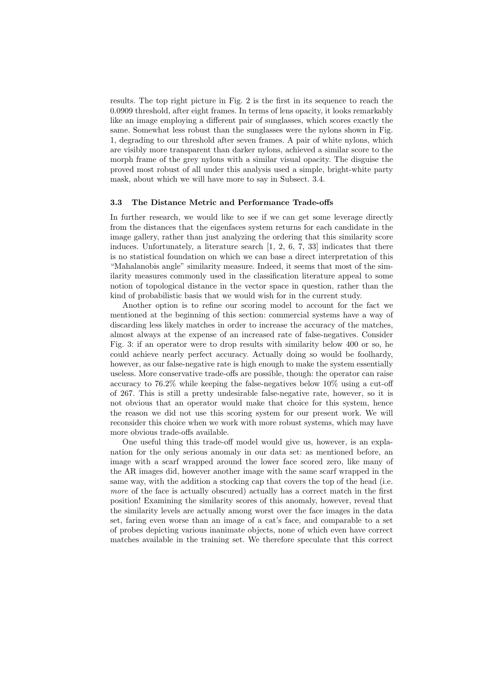results. The top right picture in Fig. 2 is the first in its sequence to reach the 0.0909 threshold, after eight frames. In terms of lens opacity, it looks remarkably like an image employing a different pair of sunglasses, which scores exactly the same. Somewhat less robust than the sunglasses were the nylons shown in Fig. 1, degrading to our threshold after seven frames. A pair of white nylons, which are visibly more transparent than darker nylons, achieved a similar score to the morph frame of the grey nylons with a similar visual opacity. The disguise the proved most robust of all under this analysis used a simple, bright-white party mask, about which we will have more to say in Subsect. 3.4.

#### 3.3 The Distance Metric and Performance Trade-offs

In further research, we would like to see if we can get some leverage directly from the distances that the eigenfaces system returns for each candidate in the image gallery, rather than just analyzing the ordering that this similarity score induces. Unfortunately, a literature search [1, 2, 6, 7, 33] indicates that there is no statistical foundation on which we can base a direct interpretation of this "Mahalanobis angle" similarity measure. Indeed, it seems that most of the similarity measures commonly used in the classification literature appeal to some notion of topological distance in the vector space in question, rather than the kind of probabilistic basis that we would wish for in the current study.

Another option is to refine our scoring model to account for the fact we mentioned at the beginning of this section: commercial systems have a way of discarding less likely matches in order to increase the accuracy of the matches, almost always at the expense of an increased rate of false-negatives. Consider Fig. 3: if an operator were to drop results with similarity below 400 or so, he could achieve nearly perfect accuracy. Actually doing so would be foolhardy, however, as our false-negative rate is high enough to make the system essentially useless. More conservative trade-offs are possible, though: the operator can raise accuracy to 76.2% while keeping the false-negatives below 10% using a cut-off of 267. This is still a pretty undesirable false-negative rate, however, so it is not obvious that an operator would make that choice for this system, hence the reason we did not use this scoring system for our present work. We will reconsider this choice when we work with more robust systems, which may have more obvious trade-offs available.

One useful thing this trade-off model would give us, however, is an explanation for the only serious anomaly in our data set: as mentioned before, an image with a scarf wrapped around the lower face scored zero, like many of the AR images did, however another image with the same scarf wrapped in the same way, with the addition a stocking cap that covers the top of the head (i.e. more of the face is actually obscured) actually has a correct match in the first position! Examining the similarity scores of this anomaly, however, reveal that the similarity levels are actually among worst over the face images in the data set, faring even worse than an image of a cat's face, and comparable to a set of probes depicting various inanimate objects, none of which even have correct matches available in the training set. We therefore speculate that this correct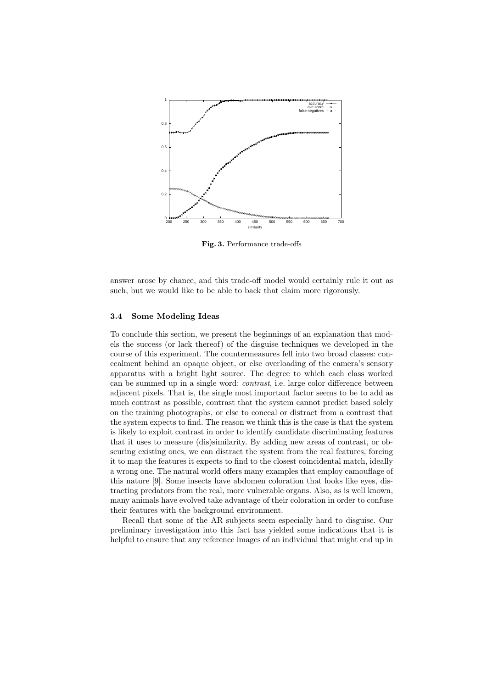

Fig. 3. Performance trade-offs

answer arose by chance, and this trade-off model would certainly rule it out as such, but we would like to be able to back that claim more rigorously.

#### 3.4 Some Modeling Ideas

To conclude this section, we present the beginnings of an explanation that models the success (or lack thereof) of the disguise techniques we developed in the course of this experiment. The countermeasures fell into two broad classes: concealment behind an opaque object, or else overloading of the camera's sensory apparatus with a bright light source. The degree to which each class worked can be summed up in a single word: contrast, i.e. large color difference between adjacent pixels. That is, the single most important factor seems to be to add as much contrast as possible, contrast that the system cannot predict based solely on the training photographs, or else to conceal or distract from a contrast that the system expects to find. The reason we think this is the case is that the system is likely to exploit contrast in order to identify candidate discriminating features that it uses to measure (dis)similarity. By adding new areas of contrast, or obscuring existing ones, we can distract the system from the real features, forcing it to map the features it expects to find to the closest coincidental match, ideally a wrong one. The natural world offers many examples that employ camouflage of this nature [9]. Some insects have abdomen coloration that looks like eyes, distracting predators from the real, more vulnerable organs. Also, as is well known, many animals have evolved take advantage of their coloration in order to confuse their features with the background environment.

Recall that some of the AR subjects seem especially hard to disguise. Our preliminary investigation into this fact has yielded some indications that it is helpful to ensure that any reference images of an individual that might end up in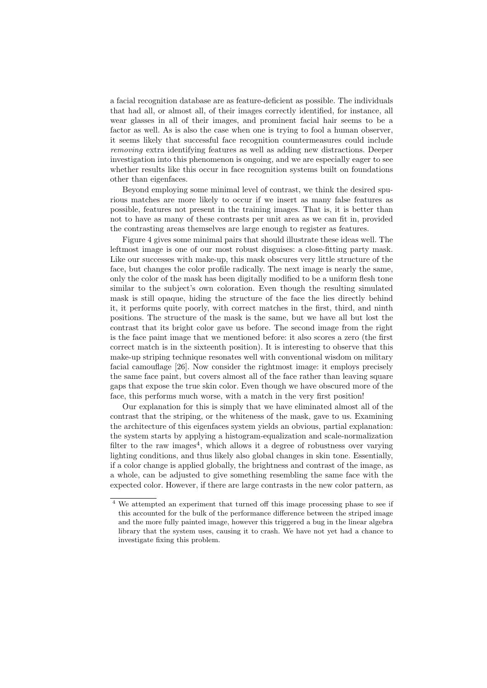a facial recognition database are as feature-deficient as possible. The individuals that had all, or almost all, of their images correctly identified, for instance, all wear glasses in all of their images, and prominent facial hair seems to be a factor as well. As is also the case when one is trying to fool a human observer, it seems likely that successful face recognition countermeasures could include removing extra identifying features as well as adding new distractions. Deeper investigation into this phenomenon is ongoing, and we are especially eager to see whether results like this occur in face recognition systems built on foundations other than eigenfaces.

Beyond employing some minimal level of contrast, we think the desired spurious matches are more likely to occur if we insert as many false features as possible, features not present in the training images. That is, it is better than not to have as many of these contrasts per unit area as we can fit in, provided the contrasting areas themselves are large enough to register as features.

Figure 4 gives some minimal pairs that should illustrate these ideas well. The leftmost image is one of our most robust disguises: a close-fitting party mask. Like our successes with make-up, this mask obscures very little structure of the face, but changes the color profile radically. The next image is nearly the same, only the color of the mask has been digitally modified to be a uniform flesh tone similar to the subject's own coloration. Even though the resulting simulated mask is still opaque, hiding the structure of the face the lies directly behind it, it performs quite poorly, with correct matches in the first, third, and ninth positions. The structure of the mask is the same, but we have all but lost the contrast that its bright color gave us before. The second image from the right is the face paint image that we mentioned before: it also scores a zero (the first correct match is in the sixteenth position). It is interesting to observe that this make-up striping technique resonates well with conventional wisdom on military facial camouflage [26]. Now consider the rightmost image: it employs precisely the same face paint, but covers almost all of the face rather than leaving square gaps that expose the true skin color. Even though we have obscured more of the face, this performs much worse, with a match in the very first position!

Our explanation for this is simply that we have eliminated almost all of the contrast that the striping, or the whiteness of the mask, gave to us. Examining the architecture of this eigenfaces system yields an obvious, partial explanation: the system starts by applying a histogram-equalization and scale-normalization filter to the raw images<sup>4</sup>, which allows it a degree of robustness over varying lighting conditions, and thus likely also global changes in skin tone. Essentially, if a color change is applied globally, the brightness and contrast of the image, as a whole, can be adjusted to give something resembling the same face with the expected color. However, if there are large contrasts in the new color pattern, as

<sup>4</sup> We attempted an experiment that turned off this image processing phase to see if this accounted for the bulk of the performance difference between the striped image and the more fully painted image, however this triggered a bug in the linear algebra library that the system uses, causing it to crash. We have not yet had a chance to investigate fixing this problem.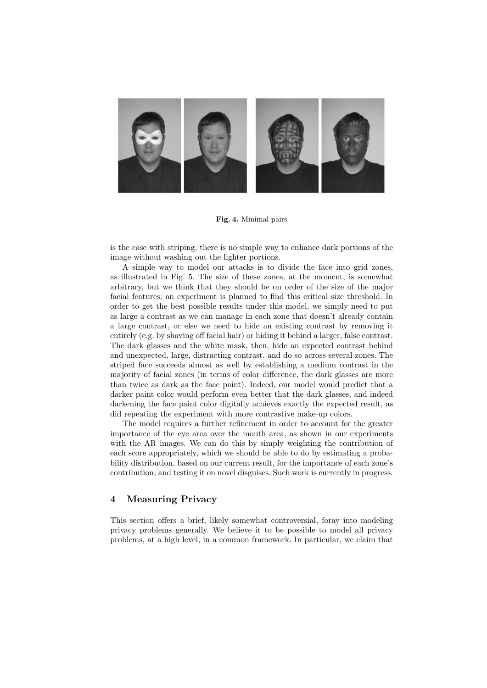

Fig. 4. Minimal pairs

is the case with striping, there is no simple way to enhance dark portions of the image without washing out the lighter portions.

A simple way to model our attacks is to divide the face into grid zones, as illustrated in Fig. 5. The size of these zones, at the moment, is somewhat arbitrary, but we think that they should be on order of the size of the major facial features; an experiment is planned to find this critical size threshold. In order to get the best possible results under this model, we simply need to put as large a contrast as we can manage in each zone that doesn't already contain a large contrast, or else we need to hide an existing contrast by removing it entirely (e.g. by shaving off facial hair) or hiding it behind a larger, false contrast. The dark glasses and the white mask, then, hide an expected contrast behind and unexpected, large, distracting contrast, and do so across several zones. The striped face succeeds almost as well by establishing a medium contrast in the majority of facial zones (in terms of color difference, the dark glasses are more than twice as dark as the face paint). Indeed, our model would predict that a darker paint color would perform even better that the dark glasses, and indeed darkening the face paint color digitally achieves exactly the expected result, as did repeating the experiment with more contrastive make-up colors.

The model requires a further refinement in order to account for the greater importance of the eye area over the mouth area, as shown in our experiments with the AR images. We can do this by simply weighting the contribution of each score appropriately, which we should be able to do by estimating a probability distribution, based on our current result, for the importance of each zone's contribution, and testing it on novel disguises. Such work is currently in progress.

#### 4 Measuring Privacy

This section offers a brief, likely somewhat controversial, foray into modeling privacy problems generally. We believe it to be possible to model all privacy problems, at a high level, in a common framework. In particular, we claim that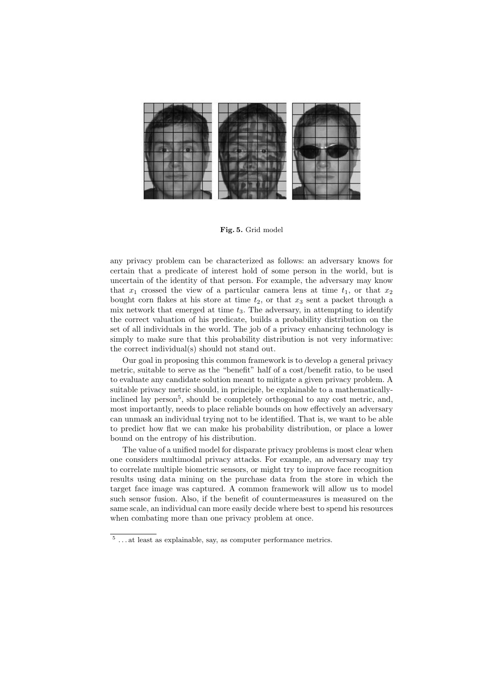

Fig. 5. Grid model

any privacy problem can be characterized as follows: an adversary knows for certain that a predicate of interest hold of some person in the world, but is uncertain of the identity of that person. For example, the adversary may know that  $x_1$  crossed the view of a particular camera lens at time  $t_1$ , or that  $x_2$ bought corn flakes at his store at time  $t_2$ , or that  $x_3$  sent a packet through a mix network that emerged at time  $t_3$ . The adversary, in attempting to identify the correct valuation of his predicate, builds a probability distribution on the set of all individuals in the world. The job of a privacy enhancing technology is simply to make sure that this probability distribution is not very informative: the correct individual(s) should not stand out.

Our goal in proposing this common framework is to develop a general privacy metric, suitable to serve as the "benefit" half of a cost/benefit ratio, to be used to evaluate any candidate solution meant to mitigate a given privacy problem. A suitable privacy metric should, in principle, be explainable to a mathematicallyinclined lay person<sup>5</sup>, should be completely orthogonal to any cost metric, and, most importantly, needs to place reliable bounds on how effectively an adversary can unmask an individual trying not to be identified. That is, we want to be able to predict how flat we can make his probability distribution, or place a lower bound on the entropy of his distribution.

The value of a unified model for disparate privacy problems is most clear when one considers multimodal privacy attacks. For example, an adversary may try to correlate multiple biometric sensors, or might try to improve face recognition results using data mining on the purchase data from the store in which the target face image was captured. A common framework will allow us to model such sensor fusion. Also, if the benefit of countermeasures is measured on the same scale, an individual can more easily decide where best to spend his resources when combating more than one privacy problem at once.

 $5...$  at least as explainable, say, as computer performance metrics.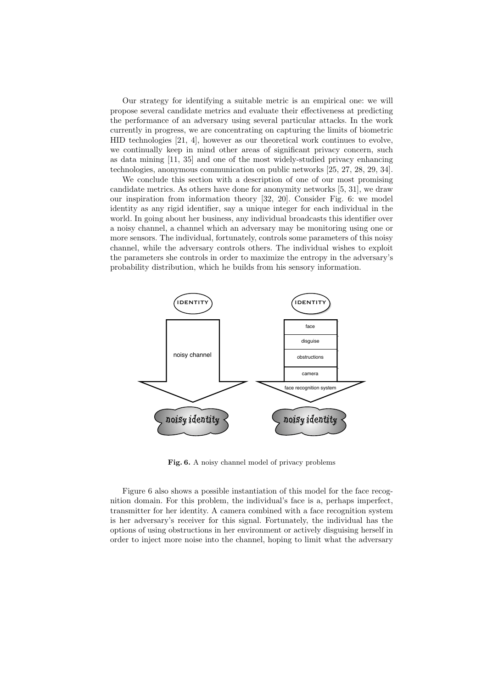Our strategy for identifying a suitable metric is an empirical one: we will propose several candidate metrics and evaluate their effectiveness at predicting the performance of an adversary using several particular attacks. In the work currently in progress, we are concentrating on capturing the limits of biometric HID technologies [21, 4], however as our theoretical work continues to evolve, we continually keep in mind other areas of significant privacy concern, such as data mining [11, 35] and one of the most widely-studied privacy enhancing technologies, anonymous communication on public networks [25, 27, 28, 29, 34].

We conclude this section with a description of one of our most promising candidate metrics. As others have done for anonymity networks [5, 31], we draw our inspiration from information theory [32, 20]. Consider Fig. 6: we model identity as any rigid identifier, say a unique integer for each individual in the world. In going about her business, any individual broadcasts this identifier over a noisy channel, a channel which an adversary may be monitoring using one or more sensors. The individual, fortunately, controls some parameters of this noisy channel, while the adversary controls others. The individual wishes to exploit the parameters she controls in order to maximize the entropy in the adversary's probability distribution, which he builds from his sensory information.



Fig. 6. A noisy channel model of privacy problems

Figure 6 also shows a possible instantiation of this model for the face recognition domain. For this problem, the individual's face is a, perhaps imperfect, transmitter for her identity. A camera combined with a face recognition system is her adversary's receiver for this signal. Fortunately, the individual has the options of using obstructions in her environment or actively disguising herself in order to inject more noise into the channel, hoping to limit what the adversary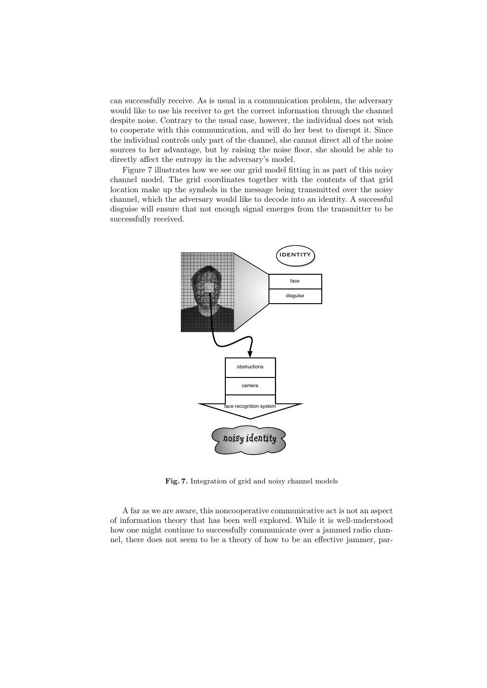can successfully receive. As is usual in a communication problem, the adversary would like to use his receiver to get the correct information through the channel despite noise. Contrary to the usual case, however, the individual does not wish to cooperate with this communication, and will do her best to disrupt it. Since the individual controls only part of the channel, she cannot direct all of the noise sources to her advantage, but by raising the noise floor, she should be able to directly affect the entropy in the adversary's model.

Figure 7 illustrates how we see our grid model fitting in as part of this noisy channel model. The grid coordinates together with the contents of that grid location make up the symbols in the message being transmitted over the noisy channel, which the adversary would like to decode into an identity. A successful disguise will ensure that not enough signal emerges from the transmitter to be successfully received.



Fig. 7. Integration of grid and noisy channel models

A far as we are aware, this noncooperative communicative act is not an aspect of information theory that has been well explored. While it is well-understood how one might continue to successfully communicate over a jammed radio channel, there does not seem to be a theory of how to be an effective jammer, par-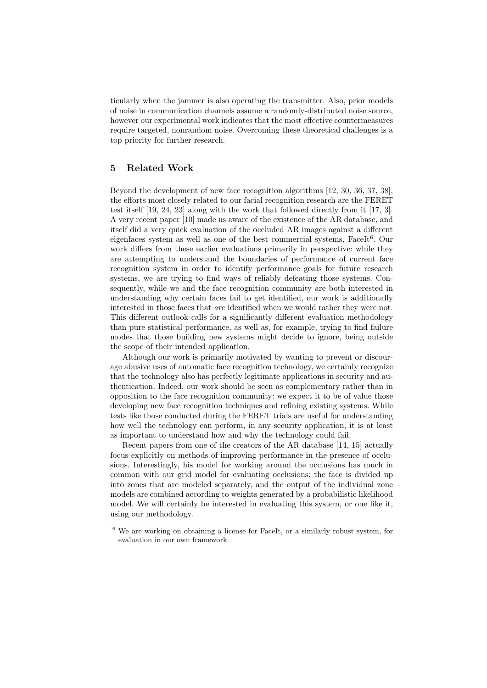ticularly when the jammer is also operating the transmitter. Also, prior models of noise in communication channels assume a randomly-distributed noise source, however our experimental work indicates that the most effective countermeasures require targeted, nonrandom noise. Overcoming these theoretical challenges is a top priority for further research.

## 5 Related Work

Beyond the development of new face recognition algorithms [12, 30, 36, 37, 38], the efforts most closely related to our facial recognition research are the FERET test itself [19, 24, 23] along with the work that followed directly from it [17, 3]. A very recent paper [10] made us aware of the existence of the AR database, and itself did a very quick evaluation of the occluded AR images against a different eigenfaces system as well as one of the best commercial systems,  $FaceIt<sup>6</sup>$ . Our work differs from these earlier evaluations primarily in perspective: while they are attempting to understand the boundaries of performance of current face recognition system in order to identify performance goals for future research systems, we are trying to find ways of reliably defeating those systems. Consequently, while we and the face recognition community are both interested in understanding why certain faces fail to get identified, our work is additionally interested in those faces that are identified when we would rather they were not. This different outlook calls for a significantly different evaluation methodology than pure statistical performance, as well as, for example, trying to find failure modes that those building new systems might decide to ignore, being outside the scope of their intended application.

Although our work is primarily motivated by wanting to prevent or discourage abusive uses of automatic face recognition technology, we certainly recognize that the technology also has perfectly legitimate applications in security and authentication. Indeed, our work should be seen as complementary rather than in opposition to the face recognition community: we expect it to be of value those developing new face recognition techniques and refining existing systems. While tests like those conducted during the FERET trials are useful for understanding how well the technology can perform, in any security application, it is at least as important to understand how and why the technology could fail.

Recent papers from one of the creators of the AR database [14, 15] actually focus explicitly on methods of improving performance in the presence of occlusions. Interestingly, his model for working around the occlusions has much in common with our grid model for evaluating occlusions: the face is divided up into zones that are modeled separately, and the output of the individual zone models are combined according to weights generated by a probabilistic likelihood model. We will certainly be interested in evaluating this system, or one like it, using our methodology.

<sup>6</sup> We are working on obtaining a license for FaceIt, or a similarly robust system, for evaluation in our own framework.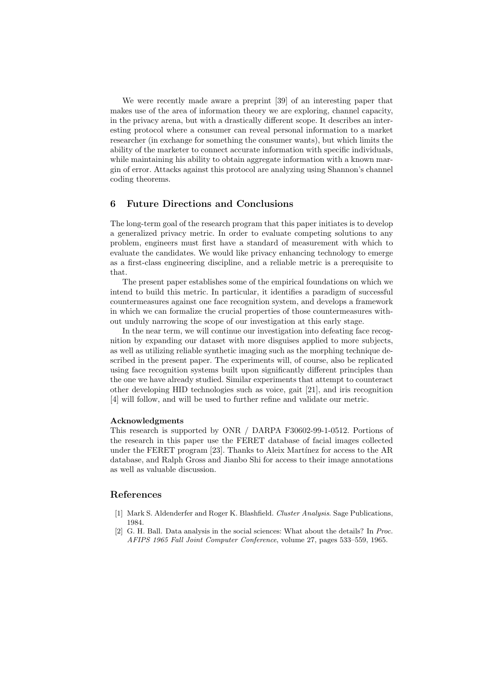We were recently made aware a preprint [39] of an interesting paper that makes use of the area of information theory we are exploring, channel capacity, in the privacy arena, but with a drastically different scope. It describes an interesting protocol where a consumer can reveal personal information to a market researcher (in exchange for something the consumer wants), but which limits the ability of the marketer to connect accurate information with specific individuals, while maintaining his ability to obtain aggregate information with a known margin of error. Attacks against this protocol are analyzing using Shannon's channel coding theorems.

#### 6 Future Directions and Conclusions

The long-term goal of the research program that this paper initiates is to develop a generalized privacy metric. In order to evaluate competing solutions to any problem, engineers must first have a standard of measurement with which to evaluate the candidates. We would like privacy enhancing technology to emerge as a first-class engineering discipline, and a reliable metric is a prerequisite to that.

The present paper establishes some of the empirical foundations on which we intend to build this metric. In particular, it identifies a paradigm of successful countermeasures against one face recognition system, and develops a framework in which we can formalize the crucial properties of those countermeasures without unduly narrowing the scope of our investigation at this early stage.

In the near term, we will continue our investigation into defeating face recognition by expanding our dataset with more disguises applied to more subjects, as well as utilizing reliable synthetic imaging such as the morphing technique described in the present paper. The experiments will, of course, also be replicated using face recognition systems built upon significantly different principles than the one we have already studied. Similar experiments that attempt to counteract other developing HID technologies such as voice, gait [21], and iris recognition [4] will follow, and will be used to further refine and validate our metric.

#### Acknowledgments

This research is supported by ONR / DARPA F30602-99-1-0512. Portions of the research in this paper use the FERET database of facial images collected under the FERET program  $[23]$ . Thanks to Aleix Martinez for access to the AR database, and Ralph Gross and Jianbo Shi for access to their image annotations as well as valuable discussion.

#### References

- [1] Mark S. Aldenderfer and Roger K. Blashfield. Cluster Analysis. Sage Publications, 1984.
- [2] G. H. Ball. Data analysis in the social sciences: What about the details? In Proc. AFIPS 1965 Fall Joint Computer Conference, volume 27, pages 533–559, 1965.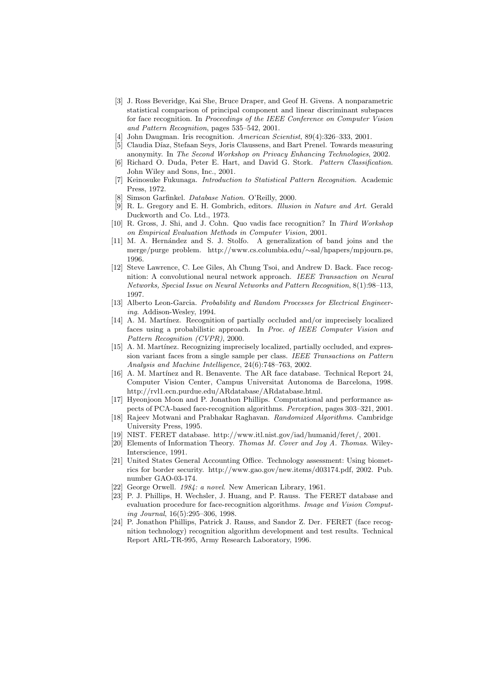- [3] J. Ross Beveridge, Kai She, Bruce Draper, and Geof H. Givens. A nonparametric statistical comparison of principal component and linear discriminant subspaces for face recognition. In Proceedings of the IEEE Conference on Computer Vision and Pattern Recognition, pages 535–542, 2001.
- John Daugman. Iris recognition. American Scientist, 89(4):326-333, 2001.
- [5] Claudia Díaz, Stefaan Seys, Joris Claussens, and Bart Prenel. Towards measuring anonymity. In The Second Workshop on Privacy Enhancing Technologies, 2002.
- [6] Richard O. Duda, Peter E. Hart, and David G. Stork. Pattern Classification. John Wiley and Sons, Inc., 2001.
- [7] Keinosuke Fukunaga. Introduction to Statistical Pattern Recognition. Academic Press, 1972.
- [8] Simson Garfinkel. Database Nation. O'Reilly, 2000.
- [9] R. L. Gregory and E. H. Gombrich, editors. Illusion in Nature and Art. Gerald Duckworth and Co. Ltd., 1973.
- [10] R. Gross, J. Shi, and J. Cohn. Quo vadis face recognition? In Third Workshop on Empirical Evaluation Methods in Computer Vision, 2001.
- [11] M. A. Hern´andez and S. J. Stolfo. A generalization of band joins and the merge/purge problem. http://www.cs.columbia.edu/∼sal/hpapers/mpjourn.ps, 1996.
- [12] Steve Lawrence, C. Lee Giles, Ah Chung Tsoi, and Andrew D. Back. Face recognition: A convolutional neural network approach. IEEE Transaction on Neural Networks, Special Issue on Neural Networks and Pattern Recognition, 8(1):98–113, 1997.
- [13] Alberto Leon-Garcia. Probability and Random Processes for Electrical Engineering. Addison-Wesley, 1994.
- [14] A. M. Martínez. Recognition of partially occluded and/or imprecisely localized faces using a probabilistic approach. In Proc. of IEEE Computer Vision and Pattern Recognition (CVPR), 2000.
- [15] A. M. Martínez. Recognizing imprecisely localized, partially occluded, and expression variant faces from a single sample per class. IEEE Transactions on Pattern Analysis and Machine Intelligence, 24(6):748–763, 2002.
- [16] A. M. Martínez and R. Benavente. The AR face database. Technical Report 24, Computer Vision Center, Campus Universitat Autonoma de Barcelona, 1998. http://rvl1.ecn.purdue.edu/ARdatabase/ARdatabase.html.
- [17] Hyeonjoon Moon and P. Jonathon Phillips. Computational and performance aspects of PCA-based face-recognition algorithms. Perception, pages 303–321, 2001.
- [18] Rajeev Motwani and Prabhakar Raghavan. Randomized Algorithms. Cambridge University Press, 1995.
- [19] NIST. FERET database. http://www.itl.nist.gov/iad/humanid/feret/, 2001.
- [20] Elements of Information Theory. Thomas M. Cover and Joy A. Thomas. Wiley-Interscience, 1991.
- [21] United States General Accounting Office. Technology assessment: Using biometrics for border security. http://www.gao.gov/new.items/d03174.pdf, 2002. Pub. number GAO-03-174.
- [22] George Orwell. 1984: a novel. New American Library, 1961.
- [23] P. J. Phillips, H. Wechsler, J. Huang, and P. Rauss. The FERET database and evaluation procedure for face-recognition algorithms. Image and Vision Computing Journal, 16(5):295–306, 1998.
- [24] P. Jonathon Phillips, Patrick J. Rauss, and Sandor Z. Der. FERET (face recognition technology) recognition algorithm development and test results. Technical Report ARL-TR-995, Army Research Laboratory, 1996.